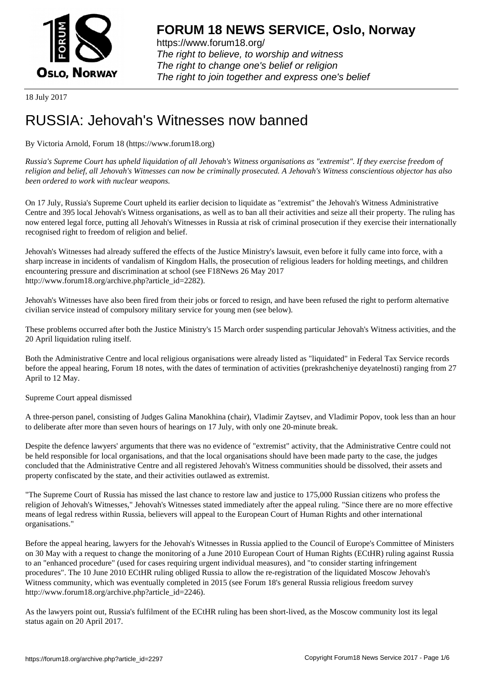

https://www.forum18.org/ The right to believe, to worship and witness The right to change one's belief or religion [The right to join together a](https://www.forum18.org/)nd express one's belief

18 July 2017

# [RUSSIA: Jehov](https://www.forum18.org)ah's Witnesses now banned

By Victoria Arnold, Forum 18 (https://www.forum18.org)

*Russia's Supreme Court has upheld liquidation of all Jehovah's Witness organisations as "extremist". If they exercise freedom of religion and belief, all Jehovah's Witnesses can now be criminally prosecuted. A Jehovah's Witness conscientious objector has also been ordered to work with nuclear weapons.*

On 17 July, Russia's Supreme Court upheld its earlier decision to liquidate as "extremist" the Jehovah's Witness Administrative Centre and 395 local Jehovah's Witness organisations, as well as to ban all their activities and seize all their property. The ruling has now entered legal force, putting all Jehovah's Witnesses in Russia at risk of criminal prosecution if they exercise their internationally recognised right to freedom of religion and belief.

Jehovah's Witnesses had already suffered the effects of the Justice Ministry's lawsuit, even before it fully came into force, with a sharp increase in incidents of vandalism of Kingdom Halls, the prosecution of religious leaders for holding meetings, and children encountering pressure and discrimination at school (see F18News 26 May 2017 http://www.forum18.org/archive.php?article\_id=2282).

Jehovah's Witnesses have also been fired from their jobs or forced to resign, and have been refused the right to perform alternative civilian service instead of compulsory military service for young men (see below).

These problems occurred after both the Justice Ministry's 15 March order suspending particular Jehovah's Witness activities, and the 20 April liquidation ruling itself.

Both the Administrative Centre and local religious organisations were already listed as "liquidated" in Federal Tax Service records before the appeal hearing, Forum 18 notes, with the dates of termination of activities (prekrashcheniye deyatelnosti) ranging from 27 April to 12 May.

Supreme Court appeal dismissed

A three-person panel, consisting of Judges Galina Manokhina (chair), Vladimir Zaytsev, and Vladimir Popov, took less than an hour to deliberate after more than seven hours of hearings on 17 July, with only one 20-minute break.

Despite the defence lawyers' arguments that there was no evidence of "extremist" activity, that the Administrative Centre could not be held responsible for local organisations, and that the local organisations should have been made party to the case, the judges concluded that the Administrative Centre and all registered Jehovah's Witness communities should be dissolved, their assets and property confiscated by the state, and their activities outlawed as extremist.

"The Supreme Court of Russia has missed the last chance to restore law and justice to 175,000 Russian citizens who profess the religion of Jehovah's Witnesses," Jehovah's Witnesses stated immediately after the appeal ruling. "Since there are no more effective means of legal redress within Russia, believers will appeal to the European Court of Human Rights and other international organisations."

Before the appeal hearing, lawyers for the Jehovah's Witnesses in Russia applied to the Council of Europe's Committee of Ministers on 30 May with a request to change the monitoring of a June 2010 European Court of Human Rights (ECtHR) ruling against Russia to an "enhanced procedure" (used for cases requiring urgent individual measures), and "to consider starting infringement procedures". The 10 June 2010 ECtHR ruling obliged Russia to allow the re-registration of the liquidated Moscow Jehovah's Witness community, which was eventually completed in 2015 (see Forum 18's general Russia religious freedom survey http://www.forum18.org/archive.php?article\_id=2246).

As the lawyers point out, Russia's fulfilment of the ECtHR ruling has been short-lived, as the Moscow community lost its legal status again on 20 April 2017.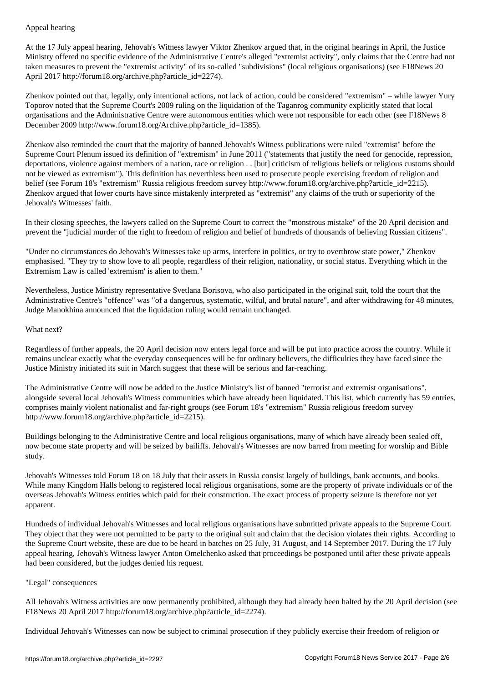At the 17 July appeal hearing, Jehovah's Witness lawyer Viktor Zhenkov argued that, in the original hearings in April, the Justice Ministry offered no specific evidence of the Administrative Centre's alleged "extremist activity", only claims that the Centre had not taken measures to prevent the "extremist activity" of its so-called "subdivisions" (local religious organisations) (see F18News 20 April 2017 http://forum18.org/archive.php?article\_id=2274).

Zhenkov pointed out that, legally, only intentional actions, not lack of action, could be considered "extremism" – while lawyer Yury Toporov noted that the Supreme Court's 2009 ruling on the liquidation of the Taganrog community explicitly stated that local organisations and the Administrative Centre were autonomous entities which were not responsible for each other (see F18News 8 December 2009 http://www.forum18.org/Archive.php?article\_id=1385).

Zhenkov also reminded the court that the majority of banned Jehovah's Witness publications were ruled "extremist" before the Supreme Court Plenum issued its definition of "extremism" in June 2011 ("statements that justify the need for genocide, repression, deportations, violence against members of a nation, race or religion . . [but] criticism of religious beliefs or religious customs should not be viewed as extremism"). This definition has neverthless been used to prosecute people exercising freedom of religion and belief (see Forum 18's "extremism" Russia religious freedom survey http://www.forum18.org/archive.php?article\_id=2215). Zhenkov argued that lower courts have since mistakenly interpreted as "extremist" any claims of the truth or superiority of the Jehovah's Witnesses' faith.

In their closing speeches, the lawyers called on the Supreme Court to correct the "monstrous mistake" of the 20 April decision and prevent the "judicial murder of the right to freedom of religion and belief of hundreds of thousands of believing Russian citizens".

"Under no circumstances do Jehovah's Witnesses take up arms, interfere in politics, or try to overthrow state power," Zhenkov emphasised. "They try to show love to all people, regardless of their religion, nationality, or social status. Everything which in the Extremism Law is called 'extremism' is alien to them."

Nevertheless, Justice Ministry representative Svetlana Borisova, who also participated in the original suit, told the court that the Administrative Centre's "offence" was "of a dangerous, systematic, wilful, and brutal nature", and after withdrawing for 48 minutes, Judge Manokhina announced that the liquidation ruling would remain unchanged.

### What next?

Regardless of further appeals, the 20 April decision now enters legal force and will be put into practice across the country. While it remains unclear exactly what the everyday consequences will be for ordinary believers, the difficulties they have faced since the Justice Ministry initiated its suit in March suggest that these will be serious and far-reaching.

The Administrative Centre will now be added to the Justice Ministry's list of banned "terrorist and extremist organisations", alongside several local Jehovah's Witness communities which have already been liquidated. This list, which currently has 59 entries, comprises mainly violent nationalist and far-right groups (see Forum 18's "extremism" Russia religious freedom survey http://www.forum18.org/archive.php?article\_id=2215).

Buildings belonging to the Administrative Centre and local religious organisations, many of which have already been sealed off, now become state property and will be seized by bailiffs. Jehovah's Witnesses are now barred from meeting for worship and Bible study.

Jehovah's Witnesses told Forum 18 on 18 July that their assets in Russia consist largely of buildings, bank accounts, and books. While many Kingdom Halls belong to registered local religious organisations, some are the property of private individuals or of the overseas Jehovah's Witness entities which paid for their construction. The exact process of property seizure is therefore not yet apparent.

Hundreds of individual Jehovah's Witnesses and local religious organisations have submitted private appeals to the Supreme Court. They object that they were not permitted to be party to the original suit and claim that the decision violates their rights. According to the Supreme Court website, these are due to be heard in batches on 25 July, 31 August, and 14 September 2017. During the 17 July appeal hearing, Jehovah's Witness lawyer Anton Omelchenko asked that proceedings be postponed until after these private appeals had been considered, but the judges denied his request.

## "Legal" consequences

All Jehovah's Witness activities are now permanently prohibited, although they had already been halted by the 20 April decision (see F18News 20 April 2017 http://forum18.org/archive.php?article\_id=2274).

Individual Jehovah's Witnesses can now be subject to criminal prosecution if they publicly exercise their freedom of religion or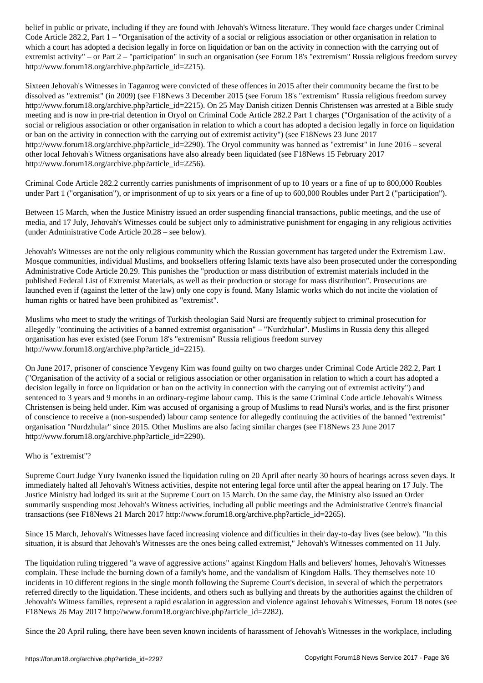Code Article 282.2, Part 1 – "Organisation of the activity of a social or religious association or other organisation in relation to which a court has adopted a decision legally in force on liquidation or ban on the activity in connection with the carrying out of extremist activity" – or Part 2 – "participation" in such an organisation (see Forum 18's "extremism" Russia religious freedom survey http://www.forum18.org/archive.php?article\_id=2215).

Sixteen Jehovah's Witnesses in Taganrog were convicted of these offences in 2015 after their community became the first to be dissolved as "extremist" (in 2009) (see F18News 3 December 2015 (see Forum 18's "extremism" Russia religious freedom survey http://www.forum18.org/archive.php?article\_id=2215). On 25 May Danish citizen Dennis Christensen was arrested at a Bible study meeting and is now in pre-trial detention in Oryol on Criminal Code Article 282.2 Part 1 charges ("Organisation of the activity of a social or religious association or other organisation in relation to which a court has adopted a decision legally in force on liquidation or ban on the activity in connection with the carrying out of extremist activity") (see F18News 23 June 2017 http://www.forum18.org/archive.php?article\_id=2290). The Oryol community was banned as "extremist" in June 2016 – several other local Jehovah's Witness organisations have also already been liquidated (see F18News 15 February 2017 http://www.forum18.org/archive.php?article\_id=2256).

Criminal Code Article 282.2 currently carries punishments of imprisonment of up to 10 years or a fine of up to 800,000 Roubles under Part 1 ("organisation"), or imprisonment of up to six years or a fine of up to 600,000 Roubles under Part 2 ("participation").

Between 15 March, when the Justice Ministry issued an order suspending financial transactions, public meetings, and the use of media, and 17 July, Jehovah's Witnesses could be subject only to administrative punishment for engaging in any religious activities (under Administrative Code Article 20.28 – see below).

Jehovah's Witnesses are not the only religious community which the Russian government has targeted under the Extremism Law. Mosque communities, individual Muslims, and booksellers offering Islamic texts have also been prosecuted under the corresponding Administrative Code Article 20.29. This punishes the "production or mass distribution of extremist materials included in the published Federal List of Extremist Materials, as well as their production or storage for mass distribution". Prosecutions are launched even if (against the letter of the law) only one copy is found. Many Islamic works which do not incite the violation of human rights or hatred have been prohibited as "extremist".

Muslims who meet to study the writings of Turkish theologian Said Nursi are frequently subject to criminal prosecution for allegedly "continuing the activities of a banned extremist organisation" – "Nurdzhular". Muslims in Russia deny this alleged organisation has ever existed (see Forum 18's "extremism" Russia religious freedom survey http://www.forum18.org/archive.php?article\_id=2215).

On June 2017, prisoner of conscience Yevgeny Kim was found guilty on two charges under Criminal Code Article 282.2, Part 1 ("Organisation of the activity of a social or religious association or other organisation in relation to which a court has adopted a decision legally in force on liquidation or ban on the activity in connection with the carrying out of extremist activity") and sentenced to 3 years and 9 months in an ordinary-regime labour camp. This is the same Criminal Code article Jehovah's Witness Christensen is being held under. Kim was accused of organising a group of Muslims to read Nursi's works, and is the first prisoner of conscience to receive a (non-suspended) labour camp sentence for allegedly continuing the activities of the banned "extremist" organisation "Nurdzhular" since 2015. Other Muslims are also facing similar charges (see F18News 23 June 2017 http://www.forum18.org/archive.php?article\_id=2290).

## Who is "extremist"?

Supreme Court Judge Yury Ivanenko issued the liquidation ruling on 20 April after nearly 30 hours of hearings across seven days. It immediately halted all Jehovah's Witness activities, despite not entering legal force until after the appeal hearing on 17 July. The Justice Ministry had lodged its suit at the Supreme Court on 15 March. On the same day, the Ministry also issued an Order summarily suspending most Jehovah's Witness activities, including all public meetings and the Administrative Centre's financial transactions (see F18News 21 March 2017 http://www.forum18.org/archive.php?article\_id=2265).

Since 15 March, Jehovah's Witnesses have faced increasing violence and difficulties in their day-to-day lives (see below). "In this situation, it is absurd that Jehovah's Witnesses are the ones being called extremist," Jehovah's Witnesses commented on 11 July.

The liquidation ruling triggered "a wave of aggressive actions" against Kingdom Halls and believers' homes, Jehovah's Witnesses complain. These include the burning down of a family's home, and the vandalism of Kingdom Halls. They themselves note 10 incidents in 10 different regions in the single month following the Supreme Court's decision, in several of which the perpetrators referred directly to the liquidation. These incidents, and others such as bullying and threats by the authorities against the children of Jehovah's Witness families, represent a rapid escalation in aggression and violence against Jehovah's Witnesses, Forum 18 notes (see F18News 26 May 2017 http://www.forum18.org/archive.php?article\_id=2282).

Since the 20 April ruling, there have been seven known incidents of harassment of Jehovah's Witnesses in the workplace, including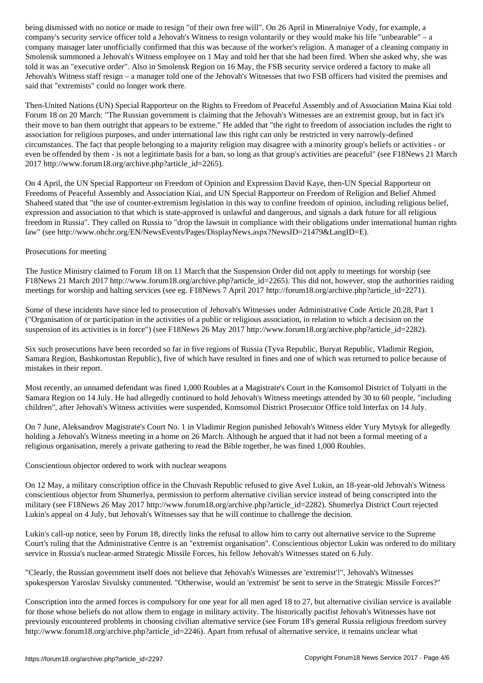company's security service officer told a Jehovah's Witness to resign voluntarily or they would make his life "unbearable" – a company manager later unofficially confirmed that this was because of the worker's religion. A manager of a cleaning company in Smolensk summoned a Jehovah's Witness employee on 1 May and told her that she had been fired. When she asked why, she was told it was an "executive order". Also in Smolensk Region on 16 May, the FSB security service ordered a factory to make all Jehovah's Witness staff resign – a manager told one of the Jehovah's Witnesses that two FSB officers had visited the premises and said that "extremists" could no longer work there.

Then-United Nations (UN) Special Rapporteur on the Rights to Freedom of Peaceful Assembly and of Association Maina Kiai told Forum 18 on 20 March: "The Russian government is claiming that the Jehovah's Witnesses are an extremist group, but in fact it's their move to ban them outright that appears to be extreme." He added that "the right to freedom of association includes the right to association for religious purposes, and under international law this right can only be restricted in very narrowly-defined circumstances. The fact that people belonging to a majority religion may disagree with a minority group's beliefs or activities - or even be offended by them - is not a legitimate basis for a ban, so long as that group's activities are peaceful" (see F18News 21 March 2017 http://www.forum18.org/archive.php?article\_id=2265).

On 4 April, the UN Special Rapporteur on Freedom of Opinion and Expression David Kaye, then-UN Special Rapporteur on Freedoms of Peaceful Assembly and Association Kiai, and UN Special Rapporteur on Freedom of Religion and Belief Ahmed Shaheed stated that "the use of counter-extremism legislation in this way to confine freedom of opinion, including religious belief, expression and association to that which is state-approved is unlawful and dangerous, and signals a dark future for all religious freedom in Russia". They called on Russia to "drop the lawsuit in compliance with their obligations under international human rights law" (see http://www.ohchr.org/EN/NewsEvents/Pages/DisplayNews.aspx?NewsID=21479&LangID=E).

## Prosecutions for meeting

The Justice Ministry claimed to Forum 18 on 11 March that the Suspension Order did not apply to meetings for worship (see F18News 21 March 2017 http://www.forum18.org/archive.php?article\_id=2265). This did not, however, stop the authorities raiding meetings for worship and halting services (see eg. F18News 7 April 2017 http://forum18.org/archive.php?article\_id=2271).

Some of these incidents have since led to prosecution of Jehovah's Witnesses under Administrative Code Article 20.28, Part 1 ("Organisation of or participation in the activities of a public or religious association, in relation to which a decision on the suspension of its activities is in force") (see F18News 26 May 2017 http://www.forum18.org/archive.php?article\_id=2282).

Six such prosecutions have been recorded so far in five regions of Russia (Tyva Republic, Buryat Republic, Vladimir Region, Samara Region, Bashkortostan Republic), five of which have resulted in fines and one of which was returned to police because of mistakes in their report.

Most recently, an unnamed defendant was fined 1,000 Roubles at a Magistrate's Court in the Komsomol District of Tolyatti in the Samara Region on 14 July. He had allegedly continued to hold Jehovah's Witness meetings attended by 30 to 60 people, "including children", after Jehovah's Witness activities were suspended, Komsomol District Prosecutor Office told Interfax on 14 July.

On 7 June, Aleksandrov Magistrate's Court No. 1 in Vladimir Region punished Jehovah's Witness elder Yury Mytsyk for allegedly holding a Jehovah's Witness meeting in a home on 26 March. Although he argued that it had not been a formal meeting of a religious organisation, merely a private gathering to read the Bible together, he was fined 1,000 Roubles.

Conscientious objector ordered to work with nuclear weapons

On 12 May, a military conscription office in the Chuvash Republic refused to give Avel Lukin, an 18-year-old Jehovah's Witness conscientious objector from Shumerlya, permission to perform alternative civilian service instead of being conscripted into the military (see F18News 26 May 2017 http://www.forum18.org/archive.php?article\_id=2282). Shumerlya District Court rejected Lukin's appeal on 4 July, but Jehovah's Witnesses say that he will continue to challenge the decision.

Lukin's call-up notice, seen by Forum 18, directly links the refusal to allow him to carry out alternative service to the Supreme Court's ruling that the Administrative Centre is an "extremist organisation". Conscientious objector Lukin was ordered to do military service in Russia's nuclear-armed Strategic Missile Forces, his fellow Jehovah's Witnesses stated on 6 July.

"Clearly, the Russian government itself does not believe that Jehovah's Witnesses are 'extremist'!", Jehovah's Witnesses spokesperson Yaroslav Sivulsky commented. "Otherwise, would an 'extremist' be sent to serve in the Strategic Missile Forces?"

Conscription into the armed forces is compulsory for one year for all men aged 18 to 27, but alternative civilian service is available for those whose beliefs do not allow them to engage in military activity. The historically pacifist Jehovah's Witnesses have not previously encountered problems in choosing civilian alternative service (see Forum 18's general Russia religious freedom survey http://www.forum18.org/archive.php?article\_id=2246). Apart from refusal of alternative service, it remains unclear what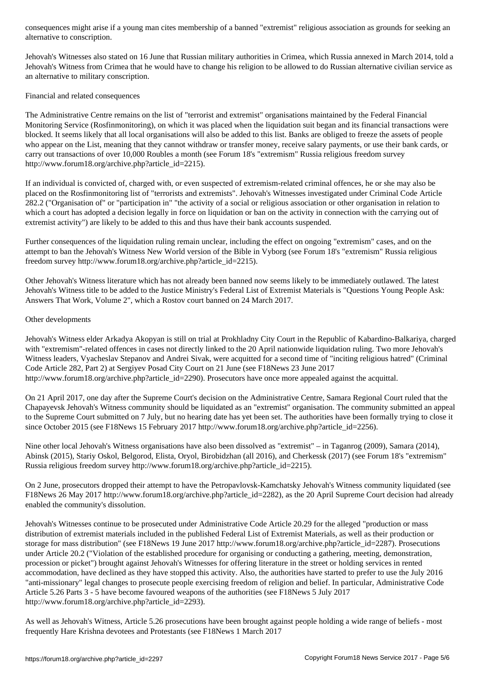Jehovah's Witnesses also stated on 16 June that Russian military authorities in Crimea, which Russia annexed in March 2014, told a Jehovah's Witness from Crimea that he would have to change his religion to be allowed to do Russian alternative civilian service as an alternative to military conscription.

Financial and related consequences

alternative to conscription.

The Administrative Centre remains on the list of "terrorist and extremist" organisations maintained by the Federal Financial Monitoring Service (Rosfinmonitoring), on which it was placed when the liquidation suit began and its financial transactions were blocked. It seems likely that all local organisations will also be added to this list. Banks are obliged to freeze the assets of people who appear on the List, meaning that they cannot withdraw or transfer money, receive salary payments, or use their bank cards, or carry out transactions of over 10,000 Roubles a month (see Forum 18's "extremism" Russia religious freedom survey http://www.forum18.org/archive.php?article\_id=2215).

If an individual is convicted of, charged with, or even suspected of extremism-related criminal offences, he or she may also be placed on the Rosfinmonitoring list of "terrorists and extremists". Jehovah's Witnesses investigated under Criminal Code Article 282.2 ("Organisation of" or "participation in" "the activity of a social or religious association or other organisation in relation to which a court has adopted a decision legally in force on liquidation or ban on the activity in connection with the carrying out of extremist activity") are likely to be added to this and thus have their bank accounts suspended.

Further consequences of the liquidation ruling remain unclear, including the effect on ongoing "extremism" cases, and on the attempt to ban the Jehovah's Witness New World version of the Bible in Vyborg (see Forum 18's "extremism" Russia religious freedom survey http://www.forum18.org/archive.php?article\_id=2215).

Other Jehovah's Witness literature which has not already been banned now seems likely to be immediately outlawed. The latest Jehovah's Witness title to be added to the Justice Ministry's Federal List of Extremist Materials is "Questions Young People Ask: Answers That Work, Volume 2", which a Rostov court banned on 24 March 2017.

## Other developments

Jehovah's Witness elder Arkadya Akopyan is still on trial at Prokhladny City Court in the Republic of Kabardino-Balkariya, charged with "extremism"-related offences in cases not directly linked to the 20 April nationwide liquidation ruling. Two more Jehovah's Witness leaders, Vyacheslav Stepanov and Andrei Sivak, were acquitted for a second time of "inciting religious hatred" (Criminal Code Article 282, Part 2) at Sergiyev Posad City Court on 21 June (see F18News 23 June 2017 http://www.forum18.org/archive.php?article\_id=2290). Prosecutors have once more appealed against the acquittal.

On 21 April 2017, one day after the Supreme Court's decision on the Administrative Centre, Samara Regional Court ruled that the Chapayevsk Jehovah's Witness community should be liquidated as an "extremist" organisation. The community submitted an appeal to the Supreme Court submitted on 7 July, but no hearing date has yet been set. The authorities have been formally trying to close it since October 2015 (see F18News 15 February 2017 http://www.forum18.org/archive.php?article\_id=2256).

Nine other local Jehovah's Witness organisations have also been dissolved as "extremist" – in Taganrog (2009), Samara (2014), Abinsk (2015), Stariy Oskol, Belgorod, Elista, Oryol, Birobidzhan (all 2016), and Cherkessk (2017) (see Forum 18's "extremism" Russia religious freedom survey http://www.forum18.org/archive.php?article\_id=2215).

On 2 June, prosecutors dropped their attempt to have the Petropavlovsk-Kamchatsky Jehovah's Witness community liquidated (see F18News 26 May 2017 http://www.forum18.org/archive.php?article\_id=2282), as the 20 April Supreme Court decision had already enabled the community's dissolution.

Jehovah's Witnesses continue to be prosecuted under Administrative Code Article 20.29 for the alleged "production or mass distribution of extremist materials included in the published Federal List of Extremist Materials, as well as their production or storage for mass distribution" (see F18News 19 June 2017 http://www.forum18.org/archive.php?article\_id=2287). Prosecutions under Article 20.2 ("Violation of the established procedure for organising or conducting a gathering, meeting, demonstration, procession or picket") brought against Jehovah's Witnesses for offering literature in the street or holding services in rented accommodation, have declined as they have stopped this activity. Also, the authorities have started to prefer to use the July 2016 "anti-missionary" legal changes to prosecute people exercising freedom of religion and belief. In particular, Administrative Code Article 5.26 Parts 3 - 5 have become favoured weapons of the authorities (see F18News 5 July 2017 http://www.forum18.org/archive.php?article\_id=2293).

As well as Jehovah's Witness, Article 5.26 prosecutions have been brought against people holding a wide range of beliefs - most frequently Hare Krishna devotees and Protestants (see F18News 1 March 2017